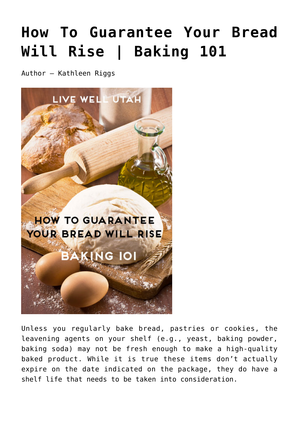## **[How To Guarantee Your Bread](https://livewellutah.org/2014/09/12/how-to-guarantee-your-bread-will-rise-baking-101/) [Will Rise | Baking 101](https://livewellutah.org/2014/09/12/how-to-guarantee-your-bread-will-rise-baking-101/)**

Author – Kathleen Riggs



Unless you regularly bake bread, pastries or cookies, the leavening agents on your shelf (e.g., yeast, baking powder, baking soda) may not be fresh enough to make a high-quality baked product. While it is true these items don't actually expire on the date indicated on the package, they do have a shelf life that needs to be taken into consideration.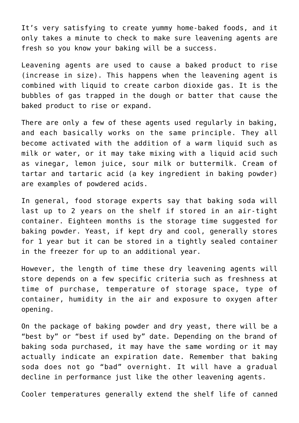It's very satisfying to create yummy home-baked foods, and it only takes a minute to check to make sure leavening agents are fresh so you know your baking will be a success.

Leavening agents are used to cause a baked product to rise (increase in size). This happens when the leavening agent is combined with liquid to create carbon dioxide gas. It is the bubbles of gas trapped in the dough or batter that cause the baked product to rise or expand.

There are only a few of these agents used regularly in baking, and each basically works on the same principle. They all become activated with the addition of a warm liquid such as milk or water, or it may take mixing with a liquid acid such as vinegar, lemon juice, sour milk or buttermilk. Cream of tartar and tartaric acid (a key ingredient in baking powder) are examples of powdered acids.

In general, food storage experts say that baking soda will last up to 2 years on the shelf if stored in an air-tight container. Eighteen months is the storage time suggested for baking powder. Yeast, if kept dry and cool, generally stores for 1 year but it can be stored in a tightly sealed container in the freezer for up to an additional year.

However, the length of time these dry leavening agents will store depends on a few specific criteria such as freshness at time of purchase, temperature of storage space, type of container, humidity in the air and exposure to oxygen after opening.

On the package of baking powder and dry yeast, there will be a "best by" or "best if used by" date. Depending on the brand of baking soda purchased, it may have the same wording or it may actually indicate an expiration date. Remember that baking soda does not go "bad" overnight. It will have a gradual decline in performance just like the other leavening agents.

Cooler temperatures generally extend the shelf life of canned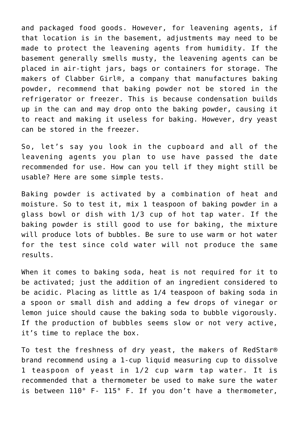and packaged food goods. However, for leavening agents, if that location is in the basement, adjustments may need to be made to protect the leavening agents from humidity. If the basement generally smells musty, the leavening agents can be placed in air-tight jars, bags or containers for storage. The makers of Clabber Girl®, a company that manufactures baking powder, recommend that baking powder not be stored in the refrigerator or freezer. This is because condensation builds up in the can and may drop onto the baking powder, causing it to react and making it useless for baking. However, dry yeast can be stored in the freezer.

So, let's say you look in the cupboard and all of the leavening agents you plan to use have passed the date recommended for use. How can you tell if they might still be usable? Here are some simple tests.

Baking powder is activated by a combination of heat and moisture. So to test it, mix 1 teaspoon of baking powder in a glass bowl or dish with 1/3 cup of hot tap water. If the baking powder is still good to use for baking, the mixture will produce lots of bubbles. Be sure to use warm or hot water for the test since cold water will not produce the same results.

When it comes to baking soda, heat is not required for it to be activated; just the addition of an ingredient considered to be acidic. Placing as little as 1/4 teaspoon of baking soda in a spoon or small dish and adding a few drops of vinegar or lemon juice should cause the baking soda to bubble vigorously. If the production of bubbles seems slow or not very active, it's time to replace the box.

To test the freshness of dry yeast, the makers of RedStar® brand recommend using a 1-cup liquid measuring cup to dissolve 1 teaspoon of yeast in 1/2 cup warm tap water. It is recommended that a thermometer be used to make sure the water is between 110° F- 115° F. If you don't have a thermometer,